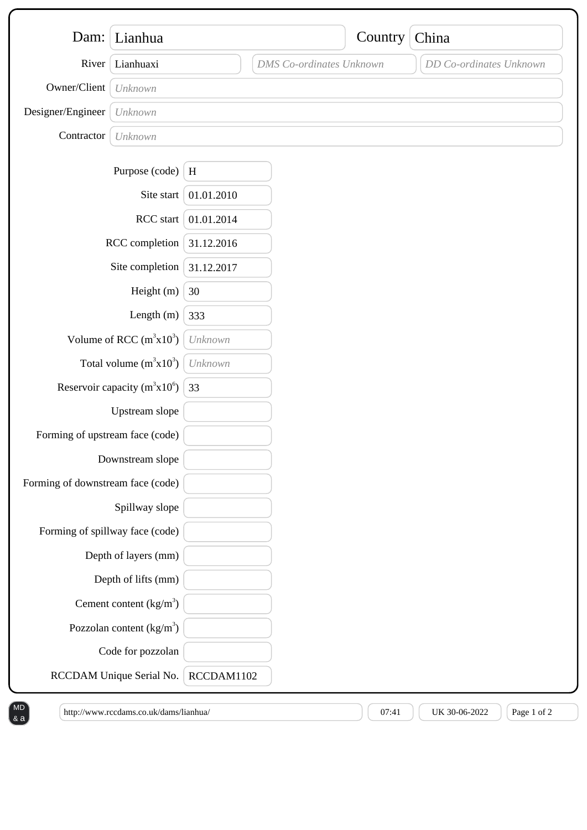| Dam:                              | Lianhua                           |              |                                 | Country | China                   |  |
|-----------------------------------|-----------------------------------|--------------|---------------------------------|---------|-------------------------|--|
| River                             | Lianhuaxi                         |              | <b>DMS</b> Co-ordinates Unknown |         | DD Co-ordinates Unknown |  |
| Owner/Client                      | Unknown                           |              |                                 |         |                         |  |
| Designer/Engineer                 | Unknown                           |              |                                 |         |                         |  |
| Contractor                        | Unknown                           |              |                                 |         |                         |  |
|                                   | Purpose (code)                    | $\, {\rm H}$ |                                 |         |                         |  |
|                                   | Site start                        | 01.01.2010   |                                 |         |                         |  |
| RCC start                         |                                   | 01.01.2014   |                                 |         |                         |  |
| RCC completion                    |                                   | 31.12.2016   |                                 |         |                         |  |
| Site completion                   |                                   | 31.12.2017   |                                 |         |                         |  |
| Height (m)                        |                                   | 30           |                                 |         |                         |  |
|                                   | Length $(m)$                      | 333          |                                 |         |                         |  |
| Volume of RCC $(m^3x10^3)$        |                                   | Unknown      |                                 |         |                         |  |
| Total volume $(m^3x10^3)$         |                                   | Unknown      |                                 |         |                         |  |
| Reservoir capacity $(m^3x10^6)$   |                                   | 33           |                                 |         |                         |  |
|                                   | Upstream slope                    |              |                                 |         |                         |  |
| Forming of upstream face (code)   |                                   |              |                                 |         |                         |  |
| Downstream slope                  |                                   |              |                                 |         |                         |  |
| Forming of downstream face (code) |                                   |              |                                 |         |                         |  |
| Spillway slope                    |                                   |              |                                 |         |                         |  |
| Forming of spillway face (code)   |                                   |              |                                 |         |                         |  |
|                                   | Depth of layers (mm)              |              |                                 |         |                         |  |
|                                   | Depth of lifts (mm)               |              |                                 |         |                         |  |
|                                   | Cement content $(kg/m3)$          |              |                                 |         |                         |  |
|                                   | Pozzolan content $\frac{kg}{m^3}$ |              |                                 |         |                         |  |
|                                   | Code for pozzolan                 |              |                                 |         |                         |  |
|                                   | RCCDAM Unique Serial No.          | RCCDAM1102   |                                 |         |                         |  |

& a